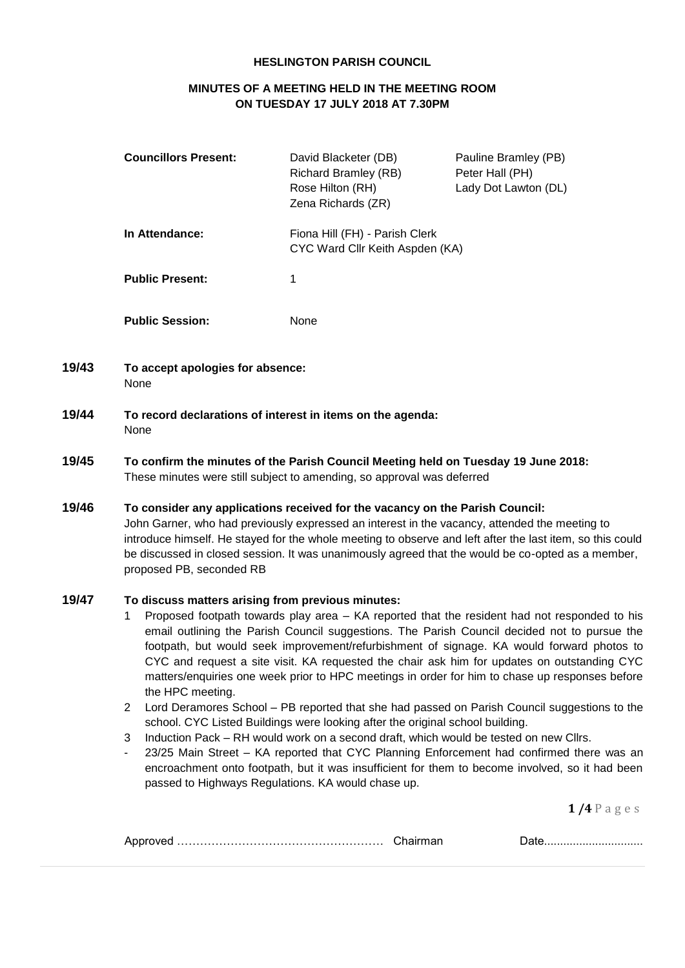### **HESLINGTON PARISH COUNCIL**

## **MINUTES OF A MEETING HELD IN THE MEETING ROOM ON TUESDAY 17 JULY 2018 AT 7.30PM**

| <b>Councillors Present:</b> | David Blacketer (DB)<br>Richard Bramley (RB)<br>Rose Hilton (RH)<br>Zena Richards (ZR) | Pauline Bramley (PB)<br>Peter Hall (PH)<br>Lady Dot Lawton (DL) |
|-----------------------------|----------------------------------------------------------------------------------------|-----------------------------------------------------------------|
| In Attendance:              | Fiona Hill (FH) - Parish Clerk<br>CYC Ward Cllr Keith Aspden (KA)                      |                                                                 |
| <b>Public Present:</b>      | 1                                                                                      |                                                                 |
| <b>Public Session:</b>      | None                                                                                   |                                                                 |

- **19/43 To accept apologies for absence:** None
- **19/44 To record declarations of interest in items on the agenda:** None
- **19/45 To confirm the minutes of the Parish Council Meeting held on Tuesday 19 June 2018:** These minutes were still subject to amending, so approval was deferred
- **19/46 To consider any applications received for the vacancy on the Parish Council:** John Garner, who had previously expressed an interest in the vacancy, attended the meeting to introduce himself. He stayed for the whole meeting to observe and left after the last item, so this could be discussed in closed session. It was unanimously agreed that the would be co-opted as a member, proposed PB, seconded RB

# **19/47 To discuss matters arising from previous minutes:**

- 1 Proposed footpath towards play area KA reported that the resident had not responded to his email outlining the Parish Council suggestions. The Parish Council decided not to pursue the footpath, but would seek improvement/refurbishment of signage. KA would forward photos to CYC and request a site visit. KA requested the chair ask him for updates on outstanding CYC matters/enquiries one week prior to HPC meetings in order for him to chase up responses before the HPC meeting.
- 2 Lord Deramores School PB reported that she had passed on Parish Council suggestions to the school. CYC Listed Buildings were looking after the original school building.
- 3 Induction Pack RH would work on a second draft, which would be tested on new Cllrs.
- 23/25 Main Street KA reported that CYC Planning Enforcement had confirmed there was an encroachment onto footpath, but it was insufficient for them to become involved, so it had been passed to Highways Regulations. KA would chase up.

**1 /4** P a g e s

| .<br>⊣∨ר |  |
|----------|--|
|          |  |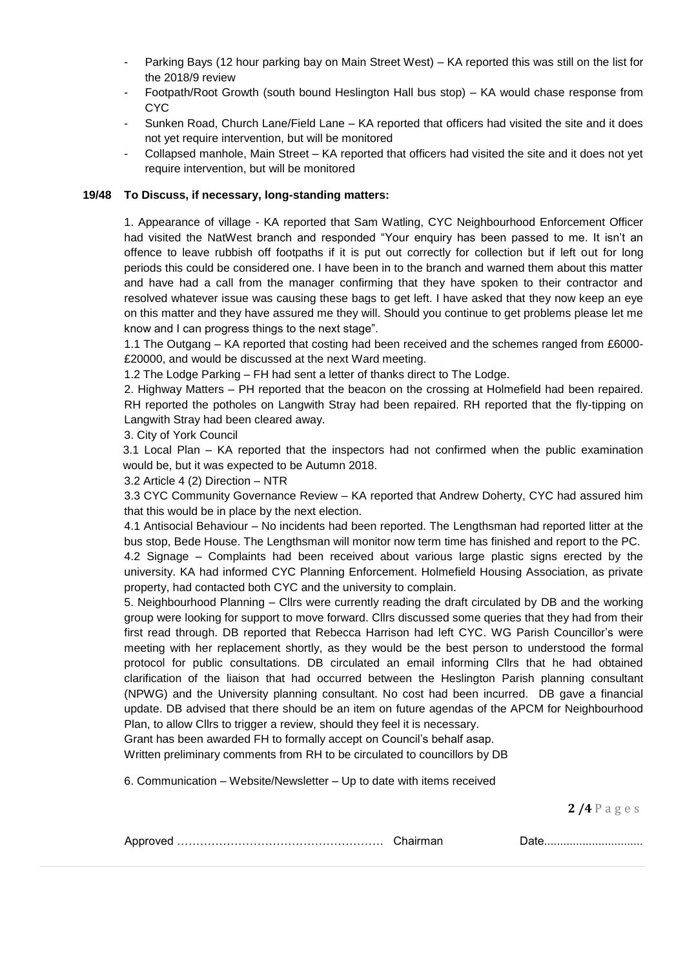- Parking Bays (12 hour parking bay on Main Street West) KA reported this was still on the list for the 2018/9 review
- Footpath/Root Growth (south bound Heslington Hall bus stop) KA would chase response from **CYC**
- Sunken Road, Church Lane/Field Lane KA reported that officers had visited the site and it does not yet require intervention, but will be monitored
- Collapsed manhole, Main Street KA reported that officers had visited the site and it does not yet require intervention, but will be monitored

### **19/48 To Discuss, if necessary, long-standing matters:**

1. Appearance of village - KA reported that Sam Watling, CYC Neighbourhood Enforcement Officer had visited the NatWest branch and responded "Your enquiry has been passed to me. It isn't an offence to leave rubbish off footpaths if it is put out correctly for collection but if left out for long periods this could be considered one. I have been in to the branch and warned them about this matter and have had a call from the manager confirming that they have spoken to their contractor and resolved whatever issue was causing these bags to get left. I have asked that they now keep an eye on this matter and they have assured me they will. Should you continue to get problems please let me know and I can progress things to the next stage".

1.1 The Outgang – KA reported that costing had been received and the schemes ranged from £6000- £20000, and would be discussed at the next Ward meeting.

1.2 The Lodge Parking – FH had sent a letter of thanks direct to The Lodge.

2. Highway Matters – PH reported that the beacon on the crossing at Holmefield had been repaired. RH reported the potholes on Langwith Stray had been repaired. RH reported that the fly-tipping on Langwith Stray had been cleared away.

3. City of York Council

3.1 Local Plan – KA reported that the inspectors had not confirmed when the public examination would be, but it was expected to be Autumn 2018.

3.2 Article 4 (2) Direction – NTR

3.3 CYC Community Governance Review – KA reported that Andrew Doherty, CYC had assured him that this would be in place by the next election.

4.1 Antisocial Behaviour – No incidents had been reported. The Lengthsman had reported litter at the bus stop, Bede House. The Lengthsman will monitor now term time has finished and report to the PC. 4.2 Signage – Complaints had been received about various large plastic signs erected by the university. KA had informed CYC Planning Enforcement. Holmefield Housing Association, as private property, had contacted both CYC and the university to complain.

5. Neighbourhood Planning – Cllrs were currently reading the draft circulated by DB and the working group were looking for support to move forward. Cllrs discussed some queries that they had from their first read through. DB reported that Rebecca Harrison had left CYC. WG Parish Councillor's were meeting with her replacement shortly, as they would be the best person to understood the formal protocol for public consultations. DB circulated an email informing Cllrs that he had obtained clarification of the liaison that had occurred between the Heslington Parish planning consultant (NPWG) and the University planning consultant. No cost had been incurred. DB gave a financial update. DB advised that there should be an item on future agendas of the APCM for Neighbourhood Plan, to allow Cllrs to trigger a review, should they feel it is necessary.

Grant has been awarded FH to formally accept on Council's behalf asap.

Written preliminary comments from RH to be circulated to councillors by DB

6. Communication – Website/Newsletter – Up to date with items received

**2 /4** P a g e s

| . DIO. DA COMPORTED IN EXTENSION IN EXTENSION IN THE U.S. LETTER IN THE U.S. LETTER IN THE U.S. LETTER IN THE |  |
|---------------------------------------------------------------------------------------------------------------|--|
|                                                                                                               |  |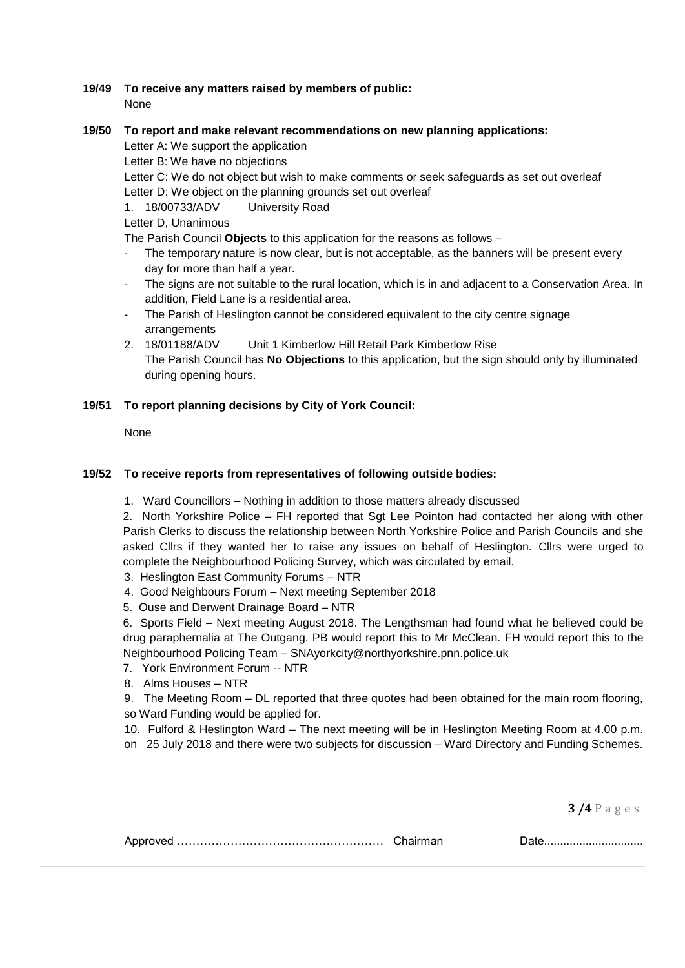### **19/49 To receive any matters raised by members of public:**  None

### **19/50 To report and make relevant recommendations on new planning applications:**

Letter A: We support the application

Letter B: We have no objections

Letter C: We do not object but wish to make comments or seek safeguards as set out overleaf Letter D: We object on the planning grounds set out overleaf

1. 18/00733/ADV University Road

Letter D, Unanimous

The Parish Council **Objects** to this application for the reasons as follows –

- The temporary nature is now clear, but is not acceptable, as the banners will be present every day for more than half a year.
- The signs are not suitable to the rural location, which is in and adjacent to a Conservation Area. In addition, Field Lane is a residential area.
- The Parish of Heslington cannot be considered equivalent to the city centre signage arrangements
- 2. 18/01188/ADV Unit 1 Kimberlow Hill Retail Park Kimberlow Rise The Parish Council has **No Objections** to this application, but the sign should only by illuminated during opening hours.

## **19/51 To report planning decisions by City of York Council:**

None

## **19/52 To receive reports from representatives of following outside bodies:**

1. Ward Councillors – Nothing in addition to those matters already discussed

2. North Yorkshire Police – FH reported that Sgt Lee Pointon had contacted her along with other Parish Clerks to discuss the relationship between North Yorkshire Police and Parish Councils and she asked Cllrs if they wanted her to raise any issues on behalf of Heslington. Cllrs were urged to complete the Neighbourhood Policing Survey, which was circulated by email.

3. Heslington East Community Forums – NTR

- 4. Good Neighbours Forum Next meeting September 2018
- 5. Ouse and Derwent Drainage Board NTR

6. Sports Field – Next meeting August 2018. The Lengthsman had found what he believed could be drug paraphernalia at The Outgang. PB would report this to Mr McClean. FH would report this to the Neighbourhood Policing Team – SNAyorkcity@northyorkshire.pnn.police.uk

- 7. York Environment Forum -- NTR
- 8. Alms Houses NTR
- 9. The Meeting Room DL reported that three quotes had been obtained for the main room flooring, so Ward Funding would be applied for.

10. Fulford & Heslington Ward – The next meeting will be in Heslington Meeting Room at 4.00 p.m.

on 25 July 2018 and there were two subjects for discussion – Ward Directory and Funding Schemes.

**3 /4** P a g e s

|--|--|--|